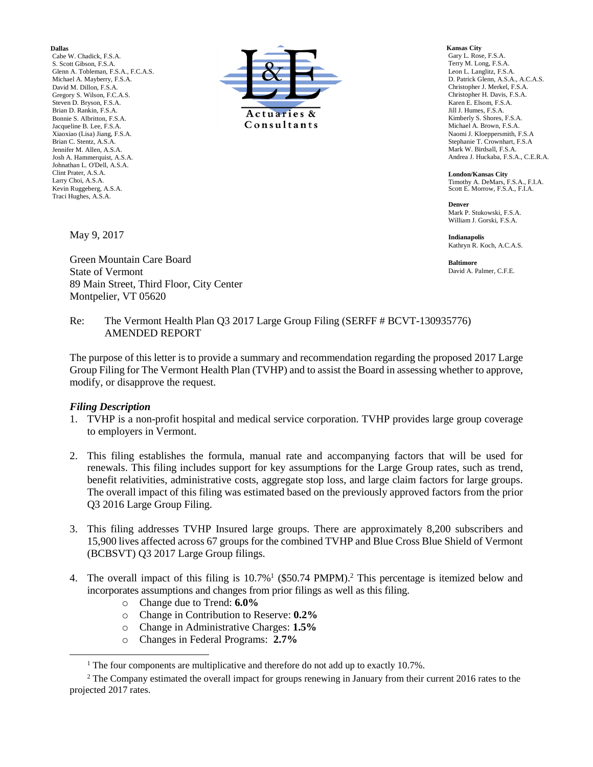**Dallas**

Cabe W. Chadick, F.S.A. S. Scott Gibson, F.S.A. Glenn A. Tobleman, F.S.A., F.C.A.S. Michael A. Mayberry, F.S.A. David M. Dillon, F.S.A. Gregory S. Wilson, F.C.A.S. Steven D. Bryson, F.S.A. Brian D. Rankin, F.S.A. Bonnie S. Albritton, F.S.A. Jacqueline B. Lee, F.S.A. Xiaoxiao (Lisa) Jiang, F.S.A. Brian C. Stentz, A.S.A. Jennifer M. Allen, A.S.A. Josh A. Hammerquist, A.S.A. Johnathan L. O'Dell, A.S.A. Clint Prater, A.S.A. Larry Choi, A.S.A. Kevin Ruggeberg, A.S.A. Traci Hughes, A.S.A.

May 9, 2017

Green Mountain Care Board State of Vermont 89 Main Street, Third Floor, City Center Montpelier, VT 05620



**Kansas City** Gary L. Rose, F.S.A. Terry M. Long, F.S.A. Leon L. Langlitz, F.S.A. D. Patrick Glenn, A.S.A., A.C.A.S. Christopher J. Merkel, F.S.A. Christopher H. Davis, F.S.A. Karen E. Elsom, F.S.A. Jill J. Humes, F.S.A. Kimberly S. Shores, F.S.A. Michael A. Brown, F.S.A. Naomi J. Kloeppersmith, F.S.A Stephanie T. Crownhart, F.S.A Mark W. Birdsall, F.S.A. Andrea J. Huckaba, F.S.A., C.E.R.A.

**London/Kansas City** Timothy A. DeMars, F.S.A., F.I.A. Scott E. Morrow, F.S.A., F.I.A.

**Denver** Mark P. Stukowski, F.S.A. William J. Gorski, F.S.A.

**Indianapolis** Kathryn R. Koch, A.C.A.S.

**Baltimore** David A. Palmer, C.F.E.

#### Re: The Vermont Health Plan Q3 2017 Large Group Filing (SERFF # BCVT-130935776) AMENDED REPORT

The purpose of this letter is to provide a summary and recommendation regarding the proposed 2017 Large Group Filing for The Vermont Health Plan (TVHP) and to assist the Board in assessing whether to approve, modify, or disapprove the request.

#### *Filing Description*

- 1. TVHP is a non-profit hospital and medical service corporation. TVHP provides large group coverage to employers in Vermont.
- 2. This filing establishes the formula, manual rate and accompanying factors that will be used for renewals. This filing includes support for key assumptions for the Large Group rates, such as trend, benefit relativities, administrative costs, aggregate stop loss, and large claim factors for large groups. The overall impact of this filing was estimated based on the previously approved factors from the prior Q3 2016 Large Group Filing.
- 3. This filing addresses TVHP Insured large groups. There are approximately 8,200 subscribers and 15,900 lives affected across 67 groups for the combined TVHP and Blue Cross Blue Shield of Vermont (BCBSVT) Q3 2017 Large Group filings.
- 4. The overall impact of this filing is  $10.7\%$ <sup>1</sup> (\$50.74 PMPM).<sup>2</sup> This percentage is itemized below and incorporates assumptions and changes from prior filings as well as this filing.
	- o Change due to Trend: **6.0%**
	- o Change in Contribution to Reserve: **0.2%**
	- o Change in Administrative Charges: **1.5%**
	- o Changes in Federal Programs: **2.7%**

<sup>&</sup>lt;sup>1</sup> The four components are multiplicative and therefore do not add up to exactly 10.7%.

<sup>&</sup>lt;sup>2</sup> The Company estimated the overall impact for groups renewing in January from their current 2016 rates to the projected 2017 rates.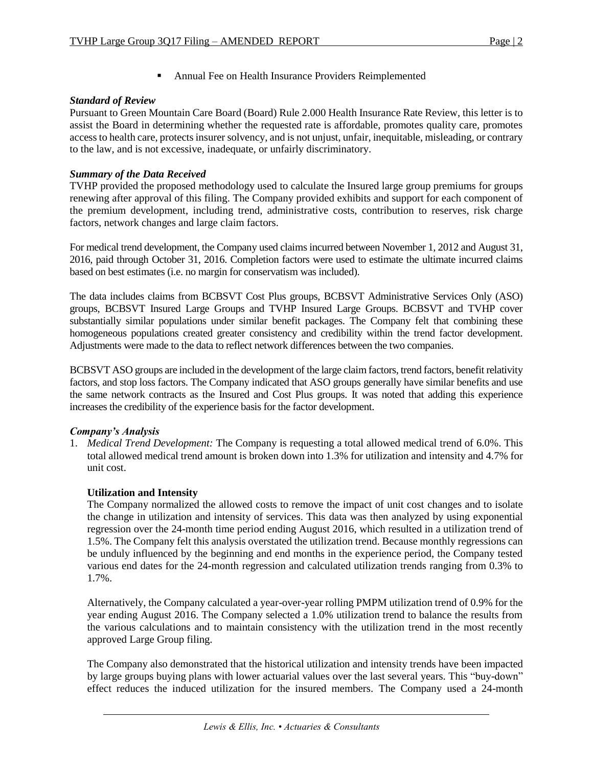**EXECUTE:** Annual Fee on Health Insurance Providers Reimplemented

# *Standard of Review*

Pursuant to Green Mountain Care Board (Board) Rule 2.000 Health Insurance Rate Review, this letter is to assist the Board in determining whether the requested rate is affordable, promotes quality care, promotes access to health care, protects insurer solvency, and is not unjust, unfair, inequitable, misleading, or contrary to the law, and is not excessive, inadequate, or unfairly discriminatory.

# *Summary of the Data Received*

TVHP provided the proposed methodology used to calculate the Insured large group premiums for groups renewing after approval of this filing. The Company provided exhibits and support for each component of the premium development, including trend, administrative costs, contribution to reserves, risk charge factors, network changes and large claim factors.

For medical trend development, the Company used claims incurred between November 1, 2012 and August 31, 2016, paid through October 31, 2016. Completion factors were used to estimate the ultimate incurred claims based on best estimates (i.e. no margin for conservatism was included).

The data includes claims from BCBSVT Cost Plus groups, BCBSVT Administrative Services Only (ASO) groups, BCBSVT Insured Large Groups and TVHP Insured Large Groups. BCBSVT and TVHP cover substantially similar populations under similar benefit packages. The Company felt that combining these homogeneous populations created greater consistency and credibility within the trend factor development. Adjustments were made to the data to reflect network differences between the two companies.

BCBSVT ASO groups are included in the development of the large claim factors, trend factors, benefit relativity factors, and stop loss factors. The Company indicated that ASO groups generally have similar benefits and use the same network contracts as the Insured and Cost Plus groups. It was noted that adding this experience increases the credibility of the experience basis for the factor development.

# *Company's Analysis*

1. *Medical Trend Development:* The Company is requesting a total allowed medical trend of 6.0%. This total allowed medical trend amount is broken down into 1.3% for utilization and intensity and 4.7% for unit cost.

# **Utilization and Intensity**

The Company normalized the allowed costs to remove the impact of unit cost changes and to isolate the change in utilization and intensity of services. This data was then analyzed by using exponential regression over the 24-month time period ending August 2016, which resulted in a utilization trend of 1.5%. The Company felt this analysis overstated the utilization trend. Because monthly regressions can be unduly influenced by the beginning and end months in the experience period, the Company tested various end dates for the 24-month regression and calculated utilization trends ranging from 0.3% to 1.7%.

Alternatively, the Company calculated a year-over-year rolling PMPM utilization trend of 0.9% for the year ending August 2016. The Company selected a 1.0% utilization trend to balance the results from the various calculations and to maintain consistency with the utilization trend in the most recently approved Large Group filing.

The Company also demonstrated that the historical utilization and intensity trends have been impacted by large groups buying plans with lower actuarial values over the last several years. This "buy-down" effect reduces the induced utilization for the insured members. The Company used a 24-month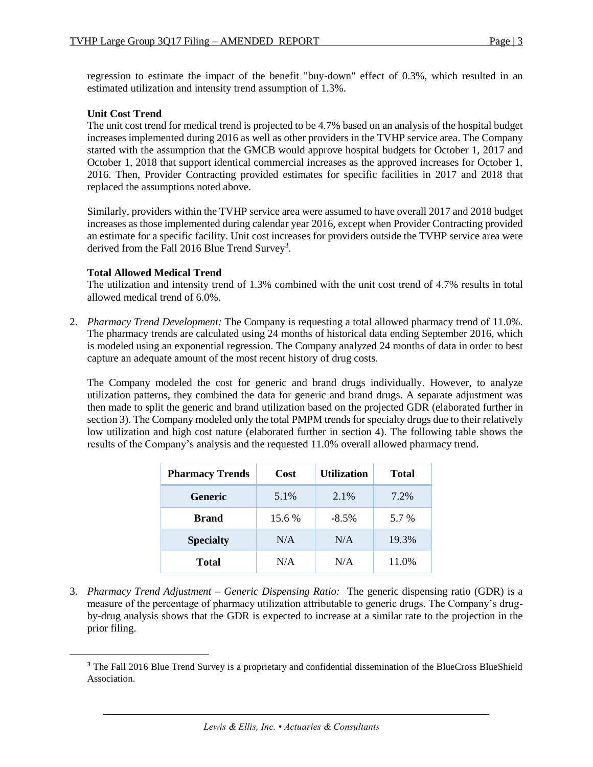regression to estimate the impact of the benefit "buy-down" effect of 0.3%, which resulted in an estimated utilization and intensity trend assumption of 1.3%.

# **Unit Cost Trend**

The unit cost trend for medical trend is projected to be 4.7% based on an analysis of the hospital budget increases implemented during 2016 as well as other providers in the TVHP service area. The Company started with the assumption that the GMCB would approve hospital budgets for October 1, 2017 and October 1, 2018 that support identical commercial increases as the approved increases for October 1, 2016. Then, Provider Contracting provided estimates for specific facilities in 2017 and 2018 that replaced the assumptions noted above.

Similarly, providers within the TVHP service area were assumed to have overall 2017 and 2018 budget increases as those implemented during calendar year 2016, except when Provider Contracting provided an estimate for a specific facility. Unit cost increases for providers outside the TVHP service area were derived from the Fall 2016 Blue Trend Survey<sup>3</sup>.

# **Total Allowed Medical Trend**

 $\overline{\phantom{a}}$ 

The utilization and intensity trend of 1.3% combined with the unit cost trend of 4.7% results in total allowed medical trend of 6.0%.

2. *Pharmacy Trend Development:* The Company is requesting a total allowed pharmacy trend of 11.0%. The pharmacy trends are calculated using 24 months of historical data ending September 2016, which is modeled using an exponential regression. The Company analyzed 24 months of data in order to best capture an adequate amount of the most recent history of drug costs.

The Company modeled the cost for generic and brand drugs individually. However, to analyze utilization patterns, they combined the data for generic and brand drugs. A separate adjustment was then made to split the generic and brand utilization based on the projected GDR (elaborated further in section 3). The Company modeled only the total PMPM trends for specialty drugs due to their relatively low utilization and high cost nature (elaborated further in section 4). The following table shows the results of the Company's analysis and the requested 11.0% overall allowed pharmacy trend.

| <b>Pharmacy Trends</b> | Cost   | <b>Utilization</b> | <b>Total</b> |
|------------------------|--------|--------------------|--------------|
| <b>Generic</b>         | 5.1%   | 2.1%               | 7.2%         |
| <b>Brand</b>           | 15.6 % | $-8.5\%$           | 5.7 %        |
| <b>Specialty</b>       | N/A    | N/A                | 19.3%        |
| <b>Total</b>           | N/A    | N/A                | 11.0%        |

3. *Pharmacy Trend Adjustment – Generic Dispensing Ratio:* The generic dispensing ratio (GDR) is a measure of the percentage of pharmacy utilization attributable to generic drugs. The Company's drugby-drug analysis shows that the GDR is expected to increase at a similar rate to the projection in the prior filing.

<sup>&</sup>lt;sup>3</sup> The Fall 2016 Blue Trend Survey is a proprietary and confidential dissemination of the BlueCross BlueShield Association.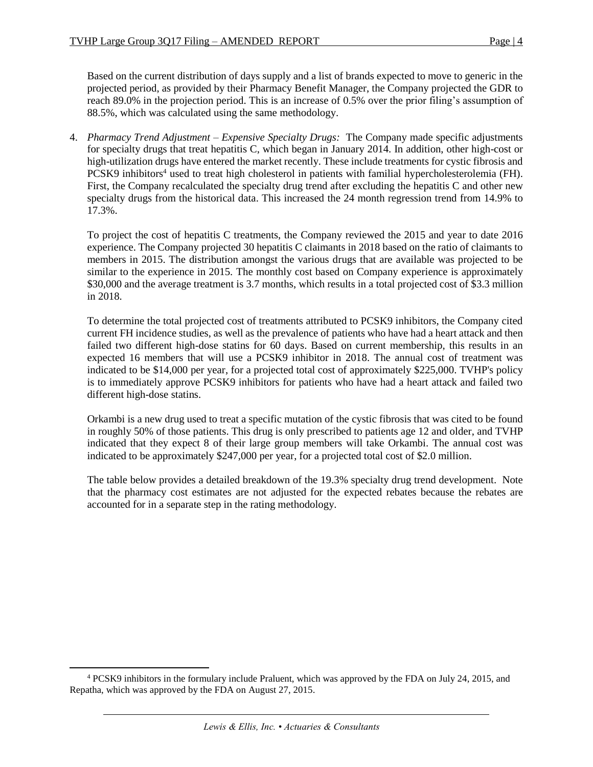Based on the current distribution of days supply and a list of brands expected to move to generic in the projected period, as provided by their Pharmacy Benefit Manager, the Company projected the GDR to reach 89.0% in the projection period. This is an increase of 0.5% over the prior filing's assumption of 88.5%, which was calculated using the same methodology.

4. *Pharmacy Trend Adjustment – Expensive Specialty Drugs:* The Company made specific adjustments for specialty drugs that treat hepatitis C, which began in January 2014. In addition, other high-cost or high-utilization drugs have entered the market recently. These include treatments for cystic fibrosis and PCSK9 inhibitors<sup>4</sup> used to treat high cholesterol in patients with familial hypercholesterolemia (FH). First, the Company recalculated the specialty drug trend after excluding the hepatitis C and other new specialty drugs from the historical data. This increased the 24 month regression trend from 14.9% to 17.3%.

To project the cost of hepatitis C treatments, the Company reviewed the 2015 and year to date 2016 experience. The Company projected 30 hepatitis C claimants in 2018 based on the ratio of claimants to members in 2015. The distribution amongst the various drugs that are available was projected to be similar to the experience in 2015. The monthly cost based on Company experience is approximately \$30,000 and the average treatment is 3.7 months, which results in a total projected cost of \$3.3 million in 2018.

To determine the total projected cost of treatments attributed to PCSK9 inhibitors, the Company cited current FH incidence studies, as well as the prevalence of patients who have had a heart attack and then failed two different high-dose statins for 60 days. Based on current membership, this results in an expected 16 members that will use a PCSK9 inhibitor in 2018. The annual cost of treatment was indicated to be \$14,000 per year, for a projected total cost of approximately \$225,000. TVHP's policy is to immediately approve PCSK9 inhibitors for patients who have had a heart attack and failed two different high-dose statins.

Orkambi is a new drug used to treat a specific mutation of the cystic fibrosis that was cited to be found in roughly 50% of those patients. This drug is only prescribed to patients age 12 and older, and TVHP indicated that they expect 8 of their large group members will take Orkambi. The annual cost was indicated to be approximately \$247,000 per year, for a projected total cost of \$2.0 million.

The table below provides a detailed breakdown of the 19.3% specialty drug trend development. Note that the pharmacy cost estimates are not adjusted for the expected rebates because the rebates are accounted for in a separate step in the rating methodology.

<sup>4</sup> PCSK9 inhibitors in the formulary include Praluent, which was approved by the FDA on July 24, 2015, and Repatha, which was approved by the FDA on August 27, 2015.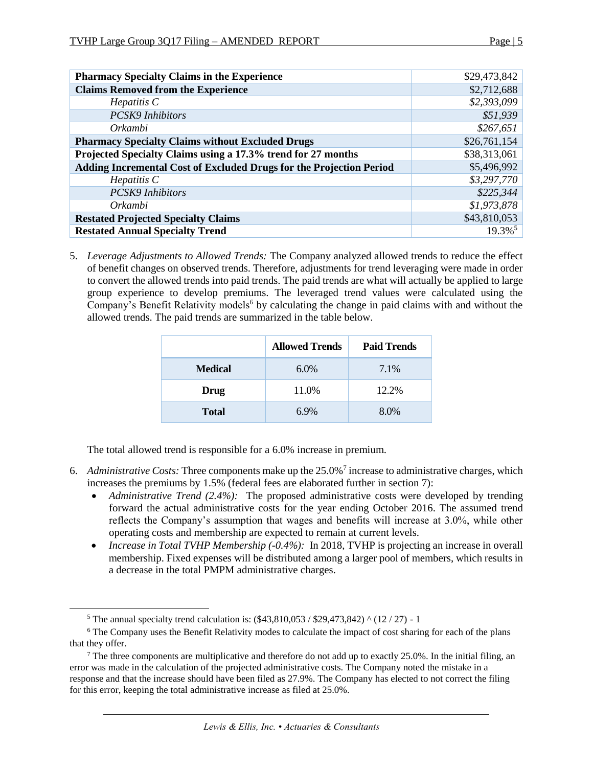| <b>Pharmacy Specialty Claims in the Experience</b>                  | \$29,473,842          |
|---------------------------------------------------------------------|-----------------------|
| <b>Claims Removed from the Experience</b>                           | \$2,712,688           |
| $He$ <i>patitis</i> $C$                                             | \$2,393,099           |
| <b>PCSK9</b> Inhibitors                                             | \$51,939              |
| Orkambi                                                             | \$267,651             |
| <b>Pharmacy Specialty Claims without Excluded Drugs</b>             | \$26,761,154          |
| Projected Specialty Claims using a 17.3% trend for 27 months        | \$38,313,061          |
| Adding Incremental Cost of Excluded Drugs for the Projection Period | \$5,496,992           |
| $He$ <i>patitis</i> $C$                                             | \$3,297,770           |
| <b>PCSK9</b> Inhibitors                                             | \$225,344             |
| Orkambi                                                             | \$1,973,878           |
| <b>Restated Projected Specialty Claims</b>                          | \$43,810,053          |
| <b>Restated Annual Specialty Trend</b>                              | $19.3\%$ <sup>5</sup> |

5. *Leverage Adjustments to Allowed Trends:* The Company analyzed allowed trends to reduce the effect of benefit changes on observed trends. Therefore, adjustments for trend leveraging were made in order to convert the allowed trends into paid trends. The paid trends are what will actually be applied to large group experience to develop premiums. The leveraged trend values were calculated using the Company's Benefit Relativity models<sup>6</sup> by calculating the change in paid claims with and without the allowed trends. The paid trends are summarized in the table below.

|                | <b>Allowed Trends</b> | <b>Paid Trends</b> |
|----------------|-----------------------|--------------------|
| <b>Medical</b> | $6.0\%$               | 7.1%               |
| Drug           | 11.0%                 | 12.2%              |
| <b>Total</b>   | 6.9%                  | 8.0%               |

The total allowed trend is responsible for a 6.0% increase in premium.

- 6. *Administrative Costs:* Three components make up the 25.0%<sup>7</sup> increase to administrative charges, which increases the premiums by 1.5% (federal fees are elaborated further in section 7):
	- *Administrative Trend (2.4%):* The proposed administrative costs were developed by trending forward the actual administrative costs for the year ending October 2016. The assumed trend reflects the Company's assumption that wages and benefits will increase at 3.0%, while other operating costs and membership are expected to remain at current levels.
	- *Increase in Total TVHP Membership (-0.4%)*: In 2018, TVHP is projecting an increase in overall membership. Fixed expenses will be distributed among a larger pool of members, which results in a decrease in the total PMPM administrative charges.

<sup>&</sup>lt;sup>5</sup> The annual specialty trend calculation is:  $(\$43,810,053 / \$29,473,842)$  ^ (12 / 27) - 1

<sup>&</sup>lt;sup>6</sup> The Company uses the Benefit Relativity modes to calculate the impact of cost sharing for each of the plans that they offer.

<sup>&</sup>lt;sup>7</sup> The three components are multiplicative and therefore do not add up to exactly 25.0%. In the initial filing, an error was made in the calculation of the projected administrative costs. The Company noted the mistake in a response and that the increase should have been filed as 27.9%. The Company has elected to not correct the filing for this error, keeping the total administrative increase as filed at 25.0%.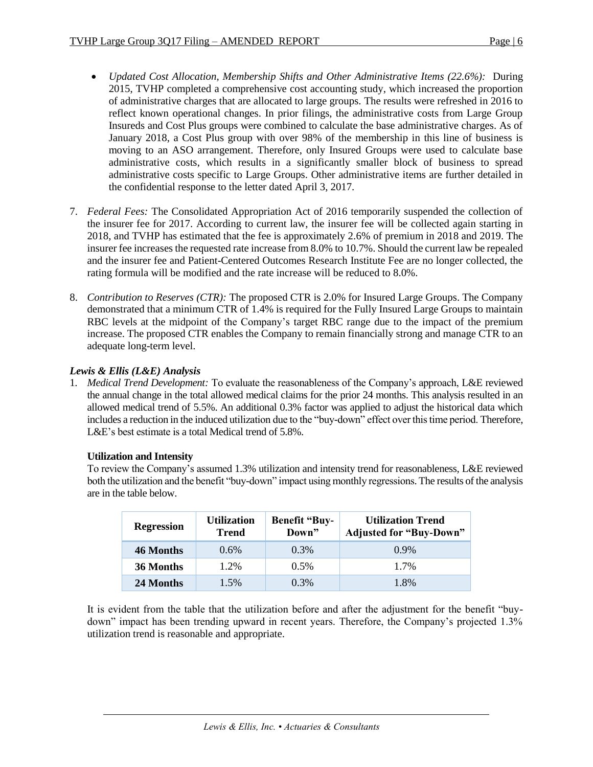- *Updated Cost Allocation, Membership Shifts and Other Administrative Items (22.6%):* During 2015, TVHP completed a comprehensive cost accounting study, which increased the proportion of administrative charges that are allocated to large groups. The results were refreshed in 2016 to reflect known operational changes. In prior filings, the administrative costs from Large Group Insureds and Cost Plus groups were combined to calculate the base administrative charges. As of January 2018, a Cost Plus group with over 98% of the membership in this line of business is moving to an ASO arrangement. Therefore, only Insured Groups were used to calculate base administrative costs, which results in a significantly smaller block of business to spread administrative costs specific to Large Groups. Other administrative items are further detailed in the confidential response to the letter dated April 3, 2017.
- 7. *Federal Fees:* The Consolidated Appropriation Act of 2016 temporarily suspended the collection of the insurer fee for 2017. According to current law, the insurer fee will be collected again starting in 2018, and TVHP has estimated that the fee is approximately 2.6% of premium in 2018 and 2019. The insurer fee increases the requested rate increase from 8.0% to 10.7%. Should the current law be repealed and the insurer fee and Patient-Centered Outcomes Research Institute Fee are no longer collected, the rating formula will be modified and the rate increase will be reduced to 8.0%.
- 8. *Contribution to Reserves (CTR):* The proposed CTR is 2.0% for Insured Large Groups. The Company demonstrated that a minimum CTR of 1.4% is required for the Fully Insured Large Groups to maintain RBC levels at the midpoint of the Company's target RBC range due to the impact of the premium increase. The proposed CTR enables the Company to remain financially strong and manage CTR to an adequate long-term level.

# *Lewis & Ellis (L&E) Analysis*

1. *Medical Trend Development:* To evaluate the reasonableness of the Company's approach, L&E reviewed the annual change in the total allowed medical claims for the prior 24 months. This analysis resulted in an allowed medical trend of 5.5%. An additional 0.3% factor was applied to adjust the historical data which includes a reduction in the induced utilization due to the "buy-down" effect over this time period. Therefore, L&E's best estimate is a total Medical trend of 5.8%.

# **Utilization and Intensity**

To review the Company's assumed 1.3% utilization and intensity trend for reasonableness, L&E reviewed both the utilization and the benefit "buy-down" impact using monthly regressions. The results of the analysis are in the table below.

| <b>Regression</b> | <b>Utilization</b><br><b>Trend</b> | <b>Benefit "Buy-</b><br>Down" | <b>Utilization Trend</b><br><b>Adjusted for "Buy-Down"</b> |
|-------------------|------------------------------------|-------------------------------|------------------------------------------------------------|
| 46 Months         | 0.6%                               | 0.3%                          | $0.9\%$                                                    |
| 36 Months         | 1.2%                               | 0.5%                          | 1.7%                                                       |
| 24 Months         | $1.5\%$                            | 0.3%                          | 1.8%                                                       |

It is evident from the table that the utilization before and after the adjustment for the benefit "buydown" impact has been trending upward in recent years. Therefore, the Company's projected 1.3% utilization trend is reasonable and appropriate.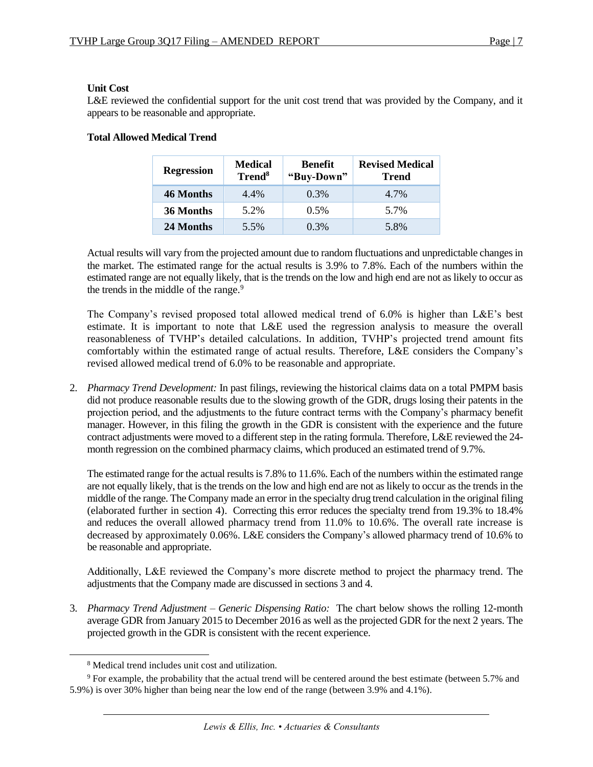## **Unit Cost**

L&E reviewed the confidential support for the unit cost trend that was provided by the Company, and it appears to be reasonable and appropriate.

| <b>Regression</b> | <b>Medical</b><br>Trend <sup>8</sup> | <b>Benefit</b><br>"Buy-Down" | <b>Revised Medical</b><br><b>Trend</b> |
|-------------------|--------------------------------------|------------------------------|----------------------------------------|
| 46 Months         | 4.4%                                 | $0.3\%$                      | 4.7%                                   |
| 36 Months         | 5.2%                                 | 0.5%                         | 5.7%                                   |
| 24 Months         | 5.5%                                 | 0.3%                         | 5.8%                                   |

# **Total Allowed Medical Trend**

Actual results will vary from the projected amount due to random fluctuations and unpredictable changes in the market. The estimated range for the actual results is 3.9% to 7.8%. Each of the numbers within the estimated range are not equally likely, that is the trends on the low and high end are not as likely to occur as the trends in the middle of the range.<sup>9</sup>

The Company's revised proposed total allowed medical trend of 6.0% is higher than L&E's best estimate. It is important to note that L&E used the regression analysis to measure the overall reasonableness of TVHP's detailed calculations. In addition, TVHP's projected trend amount fits comfortably within the estimated range of actual results. Therefore, L&E considers the Company's revised allowed medical trend of 6.0% to be reasonable and appropriate.

2. *Pharmacy Trend Development:* In past filings, reviewing the historical claims data on a total PMPM basis did not produce reasonable results due to the slowing growth of the GDR, drugs losing their patents in the projection period, and the adjustments to the future contract terms with the Company's pharmacy benefit manager. However, in this filing the growth in the GDR is consistent with the experience and the future contract adjustments were moved to a different step in the rating formula. Therefore, L&E reviewed the 24month regression on the combined pharmacy claims, which produced an estimated trend of 9.7%.

The estimated range for the actual results is 7.8% to 11.6%. Each of the numbers within the estimated range are not equally likely, that is the trends on the low and high end are not as likely to occur as the trends in the middle of the range. The Company made an error in the specialty drug trend calculation in the original filing (elaborated further in section 4). Correcting this error reduces the specialty trend from 19.3% to 18.4% and reduces the overall allowed pharmacy trend from 11.0% to 10.6%. The overall rate increase is decreased by approximately 0.06%. L&E considers the Company's allowed pharmacy trend of 10.6% to be reasonable and appropriate.

Additionally, L&E reviewed the Company's more discrete method to project the pharmacy trend. The adjustments that the Company made are discussed in sections 3 and 4.

3. *Pharmacy Trend Adjustment – Generic Dispensing Ratio:* The chart below shows the rolling 12-month average GDR from January 2015 to December 2016 as well as the projected GDR for the next 2 years. The projected growth in the GDR is consistent with the recent experience.

<sup>8</sup> Medical trend includes unit cost and utilization.

 $9$  For example, the probability that the actual trend will be centered around the best estimate (between 5.7% and 5.9%) is over 30% higher than being near the low end of the range (between 3.9% and 4.1%).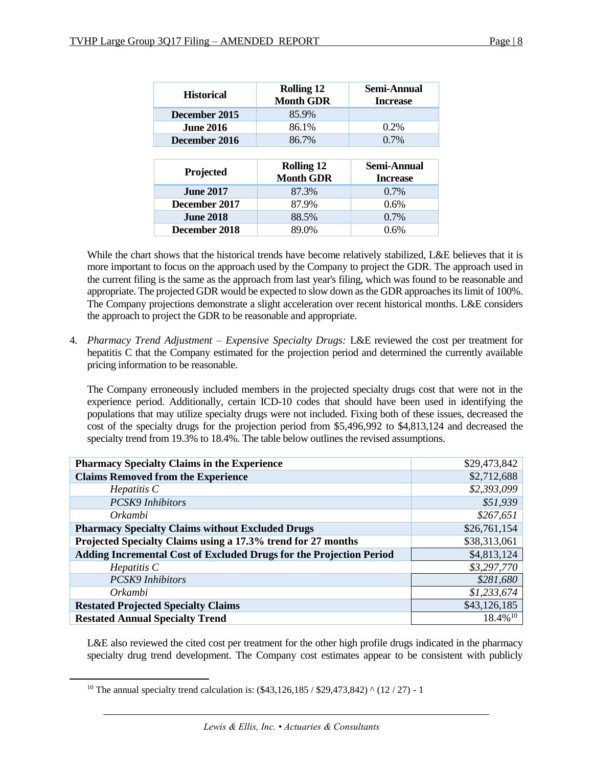| <b>Historical</b> | <b>Rolling 12</b><br><b>Month GDR</b> | Semi-Annual<br><b>Increase</b> |
|-------------------|---------------------------------------|--------------------------------|
| December 2015     | 85.9%                                 |                                |
| <b>June 2016</b>  | 86.1%                                 | 0.2%                           |
| December 2016     | 86.7%                                 | $0.7\%$                        |
|                   |                                       |                                |
|                   |                                       |                                |
| Projected         | <b>Rolling 12</b><br><b>Month GDR</b> | Semi-Annual<br><b>Increase</b> |
| <b>June 2017</b>  | 87.3%                                 | $0.7\%$                        |
| December 2017     | 87.9%                                 | $0.6\%$                        |
| <b>June 2018</b>  | 88.5%                                 | $0.7\%$                        |

While the chart shows that the historical trends have become relatively stabilized, L&E believes that it is more important to focus on the approach used by the Company to project the GDR. The approach used in the current filing is the same as the approach from last year's filing, which was found to be reasonable and appropriate. The projected GDR would be expected to slow down as the GDR approaches its limit of 100%. The Company projections demonstrate a slight acceleration over recent historical months. L&E considers the approach to project the GDR to be reasonable and appropriate.

4. *Pharmacy Trend Adjustment – Expensive Specialty Drugs:* L&E reviewed the cost per treatment for hepatitis C that the Company estimated for the projection period and determined the currently available pricing information to be reasonable.

The Company erroneously included members in the projected specialty drugs cost that were not in the experience period. Additionally, certain ICD-10 codes that should have been used in identifying the populations that may utilize specialty drugs were not included. Fixing both of these issues, decreased the cost of the specialty drugs for the projection period from \$5,496,992 to \$4,813,124 and decreased the specialty trend from 19.3% to 18.4%. The table below outlines the revised assumptions.

| <b>Pharmacy Specialty Claims in the Experience</b>                  | \$29,473,842           |
|---------------------------------------------------------------------|------------------------|
| <b>Claims Removed from the Experience</b>                           | \$2,712,688            |
| $He$ <i>patitis</i> $C$                                             | \$2,393,099            |
| <b>PCSK9</b> Inhibitors                                             | \$51,939               |
| Orkambi                                                             | \$267,651              |
| <b>Pharmacy Specialty Claims without Excluded Drugs</b>             | \$26,761,154           |
| Projected Specialty Claims using a 17.3% trend for 27 months        | \$38,313,061           |
| Adding Incremental Cost of Excluded Drugs for the Projection Period | \$4,813,124            |
| $He$ <i>patitis</i> $C$                                             | \$3,297,770            |
| <b>PCSK9</b> Inhibitors                                             | \$281,680              |
| Orkambi                                                             | \$1,233,674            |
| <b>Restated Projected Specialty Claims</b>                          | \$43,126,185           |
| <b>Restated Annual Specialty Trend</b>                              | $18.4\%$ <sup>10</sup> |

L&E also reviewed the cited cost per treatment for the other high profile drugs indicated in the pharmacy specialty drug trend development. The Company cost estimates appear to be consistent with publicly

<sup>&</sup>lt;sup>10</sup> The annual specialty trend calculation is:  $(\$43,126,185 / \$29,473,842)$  ^ (12 / 27) - 1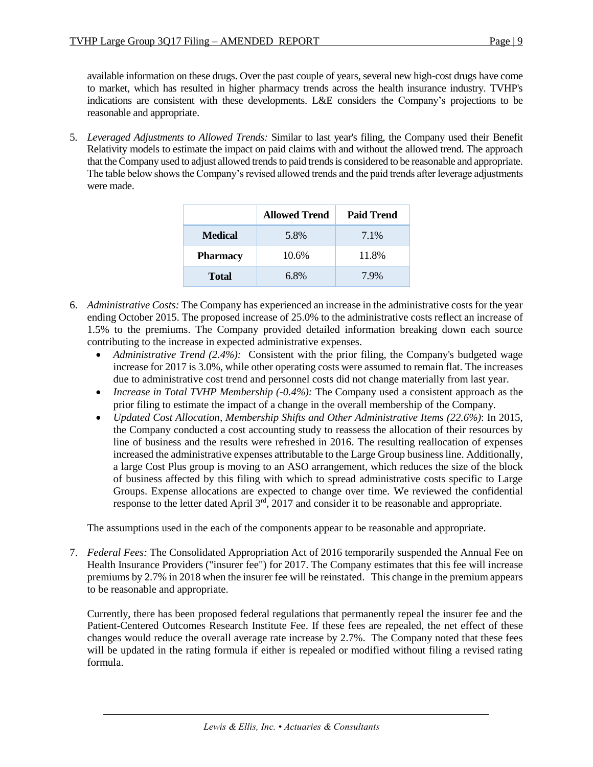available information on these drugs. Over the past couple of years, several new high-cost drugs have come to market, which has resulted in higher pharmacy trends across the health insurance industry. TVHP's indications are consistent with these developments. L&E considers the Company's projections to be reasonable and appropriate.

5. *Leveraged Adjustments to Allowed Trends:* Similar to last year's filing, the Company used their Benefit Relativity models to estimate the impact on paid claims with and without the allowed trend. The approach that the Company used to adjust allowed trends to paid trends is considered to be reasonable and appropriate. The table below shows the Company's revised allowed trends and the paid trends after leverage adjustments were made.

|                 | <b>Allowed Trend</b> | <b>Paid Trend</b> |
|-----------------|----------------------|-------------------|
| <b>Medical</b>  | 5.8%                 | 7.1%              |
| <b>Pharmacy</b> | 10.6%                | 11.8%             |
| <b>Total</b>    | 6.8%                 | 7.9%              |

- 6. *Administrative Costs:* The Company has experienced an increase in the administrative costs for the year ending October 2015. The proposed increase of 25.0% to the administrative costs reflect an increase of 1.5% to the premiums. The Company provided detailed information breaking down each source contributing to the increase in expected administrative expenses.
	- Administrative Trend (2.4%): Consistent with the prior filing, the Company's budgeted wage increase for 2017 is 3.0%, while other operating costs were assumed to remain flat. The increases due to administrative cost trend and personnel costs did not change materially from last year.
	- *Increase in Total TVHP Membership (-0.4%):* The Company used a consistent approach as the prior filing to estimate the impact of a change in the overall membership of the Company.
	- *Updated Cost Allocation, Membership Shifts and Other Administrative Items (22.6%)*: In 2015, the Company conducted a cost accounting study to reassess the allocation of their resources by line of business and the results were refreshed in 2016. The resulting reallocation of expenses increased the administrative expenses attributable to the Large Group business line. Additionally, a large Cost Plus group is moving to an ASO arrangement, which reduces the size of the block of business affected by this filing with which to spread administrative costs specific to Large Groups. Expense allocations are expected to change over time. We reviewed the confidential response to the letter dated April  $3<sup>rd</sup>$ , 2017 and consider it to be reasonable and appropriate.

The assumptions used in the each of the components appear to be reasonable and appropriate.

7. *Federal Fees:* The Consolidated Appropriation Act of 2016 temporarily suspended the Annual Fee on Health Insurance Providers ("insurer fee") for 2017. The Company estimates that this fee will increase premiums by 2.7% in 2018 when the insurer fee will be reinstated. This change in the premium appears to be reasonable and appropriate.

Currently, there has been proposed federal regulations that permanently repeal the insurer fee and the Patient-Centered Outcomes Research Institute Fee. If these fees are repealed, the net effect of these changes would reduce the overall average rate increase by 2.7%. The Company noted that these fees will be updated in the rating formula if either is repealed or modified without filing a revised rating formula.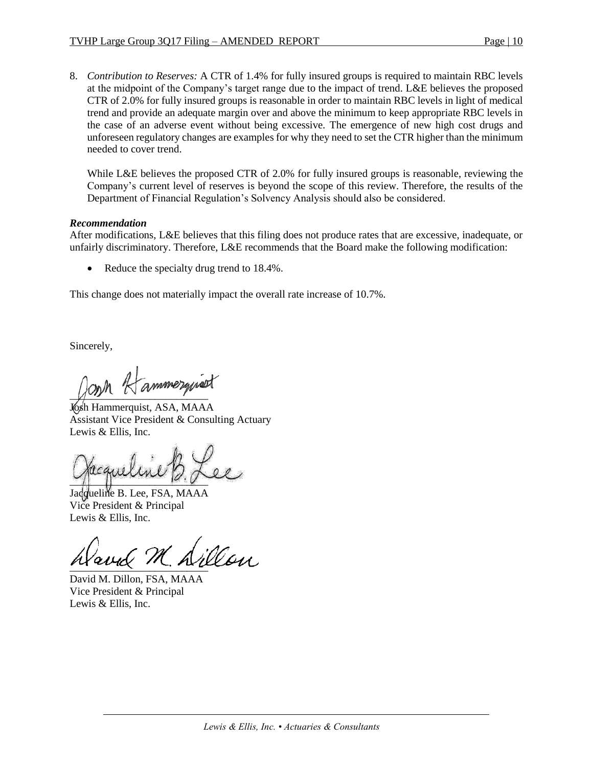8. *Contribution to Reserves:* A CTR of 1.4% for fully insured groups is required to maintain RBC levels at the midpoint of the Company's target range due to the impact of trend. L&E believes the proposed CTR of 2.0% for fully insured groups is reasonable in order to maintain RBC levels in light of medical trend and provide an adequate margin over and above the minimum to keep appropriate RBC levels in the case of an adverse event without being excessive. The emergence of new high cost drugs and unforeseen regulatory changes are examples for why they need to set the CTR higher than the minimum needed to cover trend.

While L&E believes the proposed CTR of 2.0% for fully insured groups is reasonable, reviewing the Company's current level of reserves is beyond the scope of this review. Therefore, the results of the Department of Financial Regulation's Solvency Analysis should also be considered.

## *Recommendation*

After modifications, L&E believes that this filing does not produce rates that are excessive, inadequate, or unfairly discriminatory. Therefore, L&E recommends that the Board make the following modification:

Reduce the specialty drug trend to 18.4%.

This change does not materially impact the overall rate increase of 10.7%.

Sincerely,

ammerguist

Josh Hammerquist, ASA, MAAA Assistant Vice President & Consulting Actuary Lewis & Ellis, Inc.

 $\sim$ 

Jacqueline B. Lee, FSA, MAAA Vice President & Principal Lewis & Ellis, Inc.

 $\frac{1}{2}$ 

David M. Dillon, FSA, MAAA Vice President & Principal Lewis & Ellis, Inc.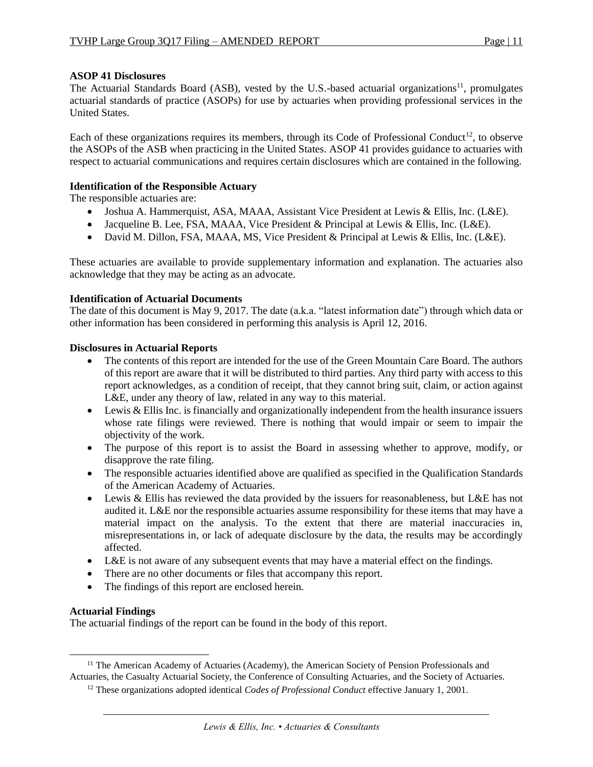## **ASOP 41 Disclosures**

The Actuarial Standards Board (ASB), vested by the U.S.-based actuarial organizations<sup>11</sup>, promulgates actuarial standards of practice (ASOPs) for use by actuaries when providing professional services in the United States.

Each of these organizations requires its members, through its Code of Professional Conduct<sup>12</sup>, to observe the ASOPs of the ASB when practicing in the United States. ASOP 41 provides guidance to actuaries with respect to actuarial communications and requires certain disclosures which are contained in the following.

## **Identification of the Responsible Actuary**

The responsible actuaries are:

- Joshua A. Hammerquist, ASA, MAAA, Assistant Vice President at Lewis & Ellis, Inc. (L&E).
- Jacqueline B. Lee, FSA, MAAA, Vice President & Principal at Lewis & Ellis, Inc. (L&E).
- David M. Dillon, FSA, MAAA, MS, Vice President & Principal at Lewis & Ellis, Inc. (L&E).

These actuaries are available to provide supplementary information and explanation. The actuaries also acknowledge that they may be acting as an advocate.

## **Identification of Actuarial Documents**

The date of this document is May 9, 2017. The date (a.k.a. "latest information date") through which data or other information has been considered in performing this analysis is April 12, 2016.

#### **Disclosures in Actuarial Reports**

- The contents of this report are intended for the use of the Green Mountain Care Board. The authors of this report are aware that it will be distributed to third parties. Any third party with access to this report acknowledges, as a condition of receipt, that they cannot bring suit, claim, or action against L&E, under any theory of law, related in any way to this material.
- Lewis & Ellis Inc. is financially and organizationally independent from the health insurance issuers whose rate filings were reviewed. There is nothing that would impair or seem to impair the objectivity of the work.
- The purpose of this report is to assist the Board in assessing whether to approve, modify, or disapprove the rate filing.
- The responsible actuaries identified above are qualified as specified in the Qualification Standards of the American Academy of Actuaries.
- Lewis & Ellis has reviewed the data provided by the issuers for reasonableness, but L&E has not audited it. L&E nor the responsible actuaries assume responsibility for these items that may have a material impact on the analysis. To the extent that there are material inaccuracies in, misrepresentations in, or lack of adequate disclosure by the data, the results may be accordingly affected.
- L&E is not aware of any subsequent events that may have a material effect on the findings.
- There are no other documents or files that accompany this report.
- The findings of this report are enclosed herein.

#### **Actuarial Findings**

 $\overline{\phantom{a}}$ 

The actuarial findings of the report can be found in the body of this report.

<sup>&</sup>lt;sup>11</sup> The American Academy of Actuaries (Academy), the American Society of Pension Professionals and Actuaries, the Casualty Actuarial Society, the Conference of Consulting Actuaries, and the Society of Actuaries.

<sup>12</sup> These organizations adopted identical *Codes of Professional Conduct* effective January 1, 2001.